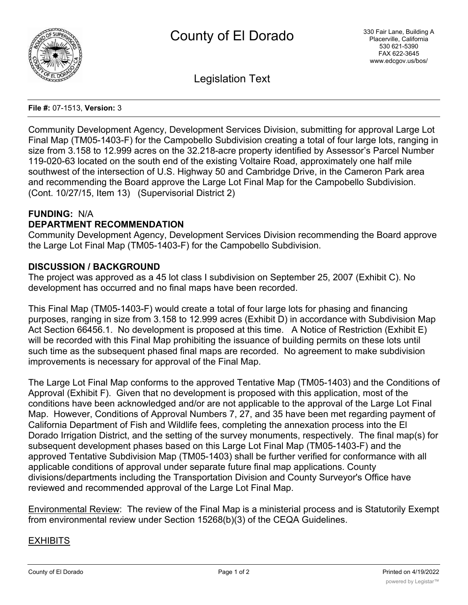

Legislation Text

#### **File #:** 07-1513, **Version:** 3

Community Development Agency, Development Services Division, submitting for approval Large Lot Final Map (TM05-1403-F) for the Campobello Subdivision creating a total of four large lots, ranging in size from 3.158 to 12.999 acres on the 32.218-acre property identified by Assessor's Parcel Number 119-020-63 located on the south end of the existing Voltaire Road, approximately one half mile southwest of the intersection of U.S. Highway 50 and Cambridge Drive, in the Cameron Park area and recommending the Board approve the Large Lot Final Map for the Campobello Subdivision. (Cont. 10/27/15, Item 13) (Supervisorial District 2)

# **FUNDING:** N/A

# **DEPARTMENT RECOMMENDATION**

Community Development Agency, Development Services Division recommending the Board approve the Large Lot Final Map (TM05-1403-F) for the Campobello Subdivision.

# **DISCUSSION / BACKGROUND**

The project was approved as a 45 lot class I subdivision on September 25, 2007 (Exhibit C). No development has occurred and no final maps have been recorded.

This Final Map (TM05-1403-F) would create a total of four large lots for phasing and financing purposes, ranging in size from 3.158 to 12.999 acres (Exhibit D) in accordance with Subdivision Map Act Section 66456.1. No development is proposed at this time. A Notice of Restriction (Exhibit E) will be recorded with this Final Map prohibiting the issuance of building permits on these lots until such time as the subsequent phased final maps are recorded. No agreement to make subdivision improvements is necessary for approval of the Final Map.

The Large Lot Final Map conforms to the approved Tentative Map (TM05-1403) and the Conditions of Approval (Exhibit F). Given that no development is proposed with this application, most of the conditions have been acknowledged and/or are not applicable to the approval of the Large Lot Final Map. However, Conditions of Approval Numbers 7, 27, and 35 have been met regarding payment of California Department of Fish and Wildlife fees, completing the annexation process into the El Dorado Irrigation District, and the setting of the survey monuments, respectively. The final map(s) for subsequent development phases based on this Large Lot Final Map (TM05-1403-F) and the approved Tentative Subdivision Map (TM05-1403) shall be further verified for conformance with all applicable conditions of approval under separate future final map applications. County divisions/departments including the Transportation Division and County Surveyor's Office have reviewed and recommended approval of the Large Lot Final Map.

Environmental Review: The review of the Final Map is a ministerial process and is Statutorily Exempt from environmental review under Section 15268(b)(3) of the CEQA Guidelines.

# EXHIBITS